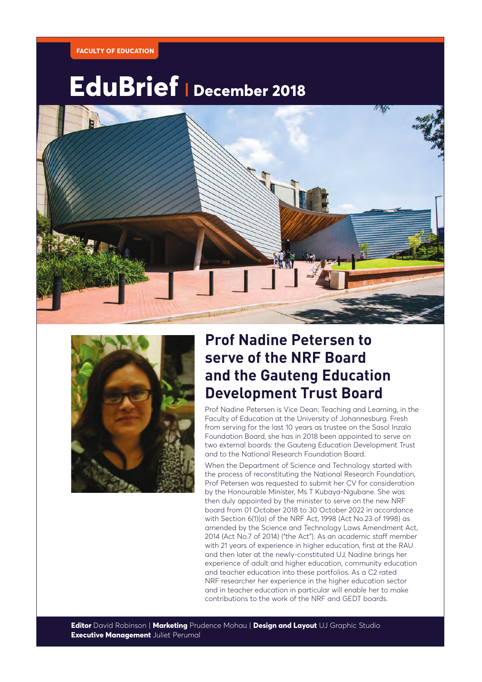

# **EduBrief | December 2018**





### **Prof Nadine Petersen to serve of the NRF Board and the Gauteng Education Development Trust Board**

Prof Nadine Petersen is Vice Dean: Teaching and Learning, in the Faculty of Education at the University of Johannesburg. Fresh from serving for the last 10 years as trustee on the Sasol Inzalo Foundation Board, she has in 2018 been appointed to serve on two external boards: the Gauteng Education Development Trust and to the National Research Foundation Board.

When the Department of Science and Technology started with the process of reconstituting the National Research Foundation, Prof Petersen was requested to submit her CV for consideration by the Honourable Minister, Ms T Kubaya-Ngubane. She was then duly appointed by the minister to serve on the new NRF board from 01 October 2018 to 30 October 2022 in accordance with Section 6(1)(a) of the NRF Act, 1998 (Act No.23 of 1998) as amended by the Science and Technology Laws Amendment Act, 2014 (Act No.7 of 2014) ("the Act"). As an academic staff member with 21 years of experience in higher education, first at the RAU and then later at the newly-constituted UJ, Nadine brings her experience of adult and higher education, community education and teacher education into these portfolios. As a C2 rated NRF researcher her experience in the higher education sector and in teacher education in particular will enable her to make contributions to the work of the NRF and GEDT boards.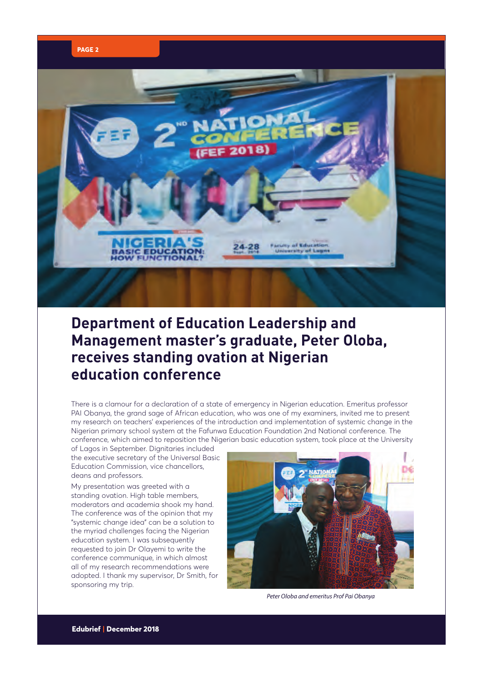



#### **Department of Education Leadership and Management master's graduate, Peter Oloba, receives standing ovation at Nigerian education conference**

There is a clamour for a declaration of a state of emergency in Nigerian education. Emeritus professor PAI Obanya, the grand sage of African education, who was one of my examiners, invited me to present my research on teachers' experiences of the introduction and implementation of systemic change in the Nigerian primary school system at the Fafunwa Education Foundation 2nd National conference. The conference, which aimed to reposition the Nigerian basic education system, took place at the University

of Lagos in September. Dignitaries included the executive secretary of the Universal Basic Education Commission, vice chancellors, deans and professors.

My presentation was greeted with a standing ovation. High table members, moderators and academia shook my hand. The conference was of the opinion that my "systemic change idea" can be a solution to the myriad challenges facing the Nigerian education system. I was subsequently requested to join Dr Olayemi to write the conference communique, in which almost all of my research recommendations were adopted. I thank my supervisor, Dr Smith, for sponsoring my trip.



*Peter Oloba and emeritus Prof Pai Obanya*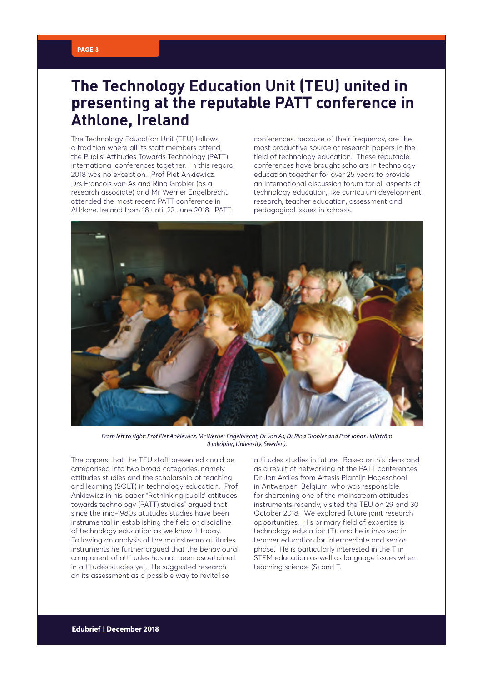#### **PAGE 3**

#### **The Technology Education Unit (TEU) united in presenting at the reputable PATT conference in Athlone, Ireland**

The Technology Education Unit (TEU) follows a tradition where all its staff members attend the Pupils' Attitudes Towards Technology (PATT) international conferences together. In this regard 2018 was no exception. Prof Piet Ankiewicz, Drs Francois van As and Rina Grobler (as a research associate) and Mr Werner Engelbrecht attended the most recent PATT conference in Athlone, Ireland from 18 until 22 June 2018. PATT

conferences, because of their frequency, are the most productive source of research papers in the field of technology education. These reputable conferences have brought scholars in technology education together for over 25 years to provide an international discussion forum for all aspects of technology education, like curriculum development, research, teacher education, assessment and pedagogical issues in schools.



*From left to right: Prof Piet Ankiewicz, Mr Werner Engelbrecht, Dr van As, Dr Rina Grobler and Prof Jonas Hallström (Linköping University, Sweden).*

The papers that the TEU staff presented could be categorised into two broad categories, namely attitudes studies and the scholarship of teaching and learning (SOLT) in technology education. Prof Ankiewicz in his paper "Rethinking pupils' attitudes towards technology (PATT) studies" argued that since the mid-1980s attitudes studies have been instrumental in establishing the field or discipline of technology education as we know it today. Following an analysis of the mainstream attitudes instruments he further argued that the behavioural component of attitudes has not been ascertained in attitudes studies yet. He suggested research on its assessment as a possible way to revitalise

attitudes studies in future. Based on his ideas and as a result of networking at the PATT conferences Dr Jan Ardies from Artesis Plantijn Hogeschool in Antwerpen, Belgium, who was responsible for shortening one of the mainstream attitudes instruments recently, visited the TEU on 29 and 30 October 2018. We explored future joint research opportunities. His primary field of expertise is technology education (T), and he is involved in teacher education for intermediate and senior phase. He is particularly interested in the T in STEM education as well as language issues when teaching science (S) and T.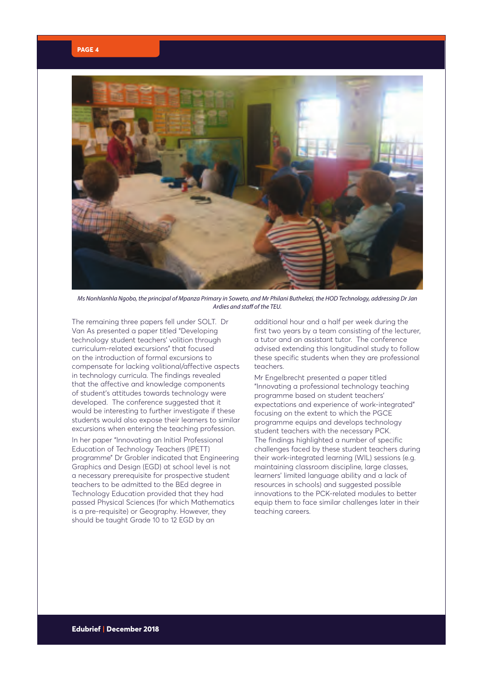

*Ms Nonhlanhla Ngobo, the principal of Mpanza Primary in Soweto, and Mr Philani Buthelezi, the HOD Technology, addressing Dr Jan Ardies and staff of the TEU.*

The remaining three papers fell under SOLT. Dr Van As presented a paper titled "Developing technology student teachers' volition through curriculum-related excursions" that focused on the introduction of formal excursions to compensate for lacking volitional/affective aspects in technology curricula. The findings revealed that the affective and knowledge components of student's attitudes towards technology were developed. The conference suggested that it would be interesting to further investigate if these students would also expose their learners to similar excursions when entering the teaching profession.

In her paper "Innovating an Initial Professional Education of Technology Teachers (IPETT) programme" Dr Grobler indicated that Engineering Graphics and Design (EGD) at school level is not a necessary prerequisite for prospective student teachers to be admitted to the BEd degree in Technology Education provided that they had passed Physical Sciences (for which Mathematics is a pre-requisite) or Geography. However, they should be taught Grade 10 to 12 EGD by an

additional hour and a half per week during the first two years by a team consisting of the lecturer, a tutor and an assistant tutor. The conference advised extending this longitudinal study to follow these specific students when they are professional teachers.

Mr Engelbrecht presented a paper titled "Innovating a professional technology teaching programme based on student teachers' expectations and experience of work-integrated" focusing on the extent to which the PGCE programme equips and develops technology student teachers with the necessary PCK. The findings highlighted a number of specific challenges faced by these student teachers during their work-integrated learning (WIL) sessions (e.g. maintaining classroom discipline, large classes, learners' limited language ability and a lack of resources in schools) and suggested possible innovations to the PCK-related modules to better equip them to face similar challenges later in their teaching careers.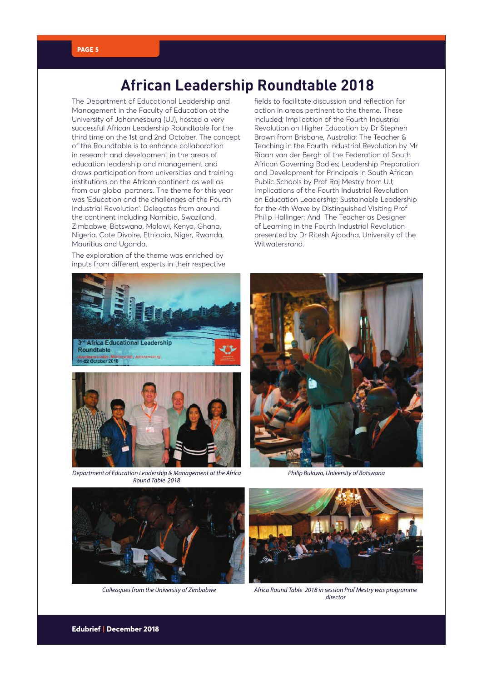#### **African Leadership Roundtable 2018**

The Department of Educational Leadership and Management in the Faculty of Education at the University of Johannesburg (UJ), hosted a very successful African Leadership Roundtable for the third time on the 1st and 2nd October. The concept of the Roundtable is to enhance collaboration in research and development in the areas of education leadership and management and draws participation from universities and training institutions on the African continent as well as from our global partners. The theme for this year was 'Education and the challenges of the Fourth Industrial Revolution'. Delegates from around the continent including Namibia, Swaziland, Zimbabwe, Botswana, Malawi, Kenya, Ghana, Nigeria, Cote Divoire, Ethiopia, Niger, Rwanda, Mauritius and Uganda.

The exploration of the theme was enriched by inputs from different experts in their respective fields to facilitate discussion and reflection for action in areas pertinent to the theme. These included; Implication of the Fourth Industrial Revolution on Higher Education by Dr Stephen Brown from Brisbane, Australia; The Teacher & Teaching in the Fourth Industrial Revolution by Mr Riaan van der Bergh of the Federation of South African Governing Bodies; Leadership Preparation and Development for Principals in South African Public Schools by Prof Raj Mestry from UJ; Implications of the Fourth Industrial Revolution on Education Leadership: Sustainable Leadership for the 4th Wave by Distinguished Visiting Prof Philip Hallinger; And The Teacher as Designer of Learning in the Fourth Industrial Revolution presented by Dr Ritesh Ajoodha, University of the Witwatersrand.





*Department of Education Leadership & Management at the Africa Round Table 2018*



*Philip Bulawa, University of Botswana*



*Colleagues from the University of Zimbabwe*



*Africa Round Table 2018 in session Prof Mestry was programme director*

## **PAGE 5**

**Edubrief | December 2018**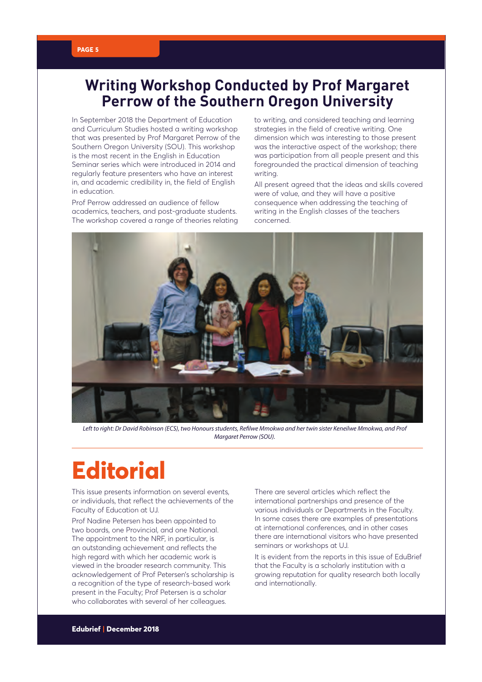#### **Writing Workshop Conducted by Prof Margaret Perrow of the Southern Oregon University**

In September 2018 the Department of Education and Curriculum Studies hosted a writing workshop that was presented by Prof Margaret Perrow of the Southern Oregon University (SOU). This workshop is the most recent in the English in Education Seminar series which were introduced in 2014 and regularly feature presenters who have an interest in, and academic credibility in, the field of English in education.

Prof Perrow addressed an audience of fellow academics, teachers, and post-graduate students. The workshop covered a range of theories relating to writing, and considered teaching and learning strategies in the field of creative writing. One dimension which was interesting to those present was the interactive aspect of the workshop; there was participation from all people present and this foregrounded the practical dimension of teaching writing.

All present agreed that the ideas and skills covered were of value, and they will have a positive consequence when addressing the teaching of writing in the English classes of the teachers concerned.



*Left to right: Dr David Robinson (ECS), two Honours students, Refilwe Mmokwa and her twin sister Keneilwe Mmokwa, and Prof Margaret Perrow (SOU).*

## **Editorial**

This issue presents information on several events, or individuals, that reflect the achievements of the Faculty of Education at UJ.

Prof Nadine Petersen has been appointed to two boards, one Provincial, and one National. The appointment to the NRF, in particular, is an outstanding achievement and reflects the high regard with which her academic work is viewed in the broader research community. This acknowledgement of Prof Petersen's scholarship is a recognition of the type of research-based work present in the Faculty; Prof Petersen is a scholar who collaborates with several of her colleagues.

There are several articles which reflect the international partnerships and presence of the various individuals or Departments in the Faculty. In some cases there are examples of presentations at international conferences, and in other cases there are international visitors who have presented seminars or workshops at UJ.

It is evident from the reports in this issue of EduBrief that the Faculty is a scholarly institution with a growing reputation for quality research both locally and internationally.

#### **PAGE 5**